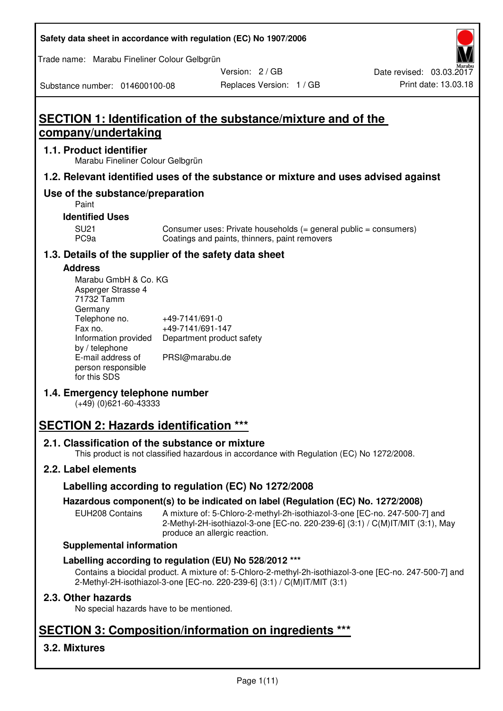| Safety data sheet in accordance with regulation (EC) No 1907/2006 |  |
|-------------------------------------------------------------------|--|
|-------------------------------------------------------------------|--|

Trade name: Marabu Fineliner Colour Gelbgrün

Version: 2 / GB

Substance number: 014600100-08

# **SECTION 1: Identification of the substance/mixture and of the company/undertaking**

## **1.1. Product identifier**

Marabu Fineliner Colour Gelbgrün

## **1.2. Relevant identified uses of the substance or mixture and uses advised against**

## **Use of the substance/preparation**

Paint

#### **Identified Uses**

SU21 Consumer uses: Private households (= general public = consumers)<br>PC9a Coatings and paints, thinners, paint removers Coatings and paints, thinners, paint removers

## **1.3. Details of the supplier of the safety data sheet**

#### **Address**

| Marabu GmbH & Co. KG |                           |
|----------------------|---------------------------|
| Asperger Strasse 4   |                           |
| 71732 Tamm           |                           |
| Germany              |                           |
| Telephone no.        | +49-7141/691-0            |
| Fax no.              | +49-7141/691-147          |
| Information provided | Department product safety |
| by / telephone       |                           |
| E-mail address of    | PRSI@marabu.de            |
| person responsible   |                           |
| for this SDS         |                           |

## **1.4. Emergency telephone number**

(+49) (0)621-60-43333

# **SECTION 2: Hazards identification \*\*\***

## **2.1. Classification of the substance or mixture**

This product is not classified hazardous in accordance with Regulation (EC) No 1272/2008.

## **2.2. Label elements**

## **Labelling according to regulation (EC) No 1272/2008**

## **Hazardous component(s) to be indicated on label (Regulation (EC) No. 1272/2008)**

EUH208 Contains A mixture of: 5-Chloro-2-methyl-2h-isothiazol-3-one [EC-no. 247-500-7] and 2-Methyl-2H-isothiazol-3-one [EC-no. 220-239-6] (3:1) / C(M)IT/MIT (3:1), May produce an allergic reaction.

#### **Supplemental information**

## **Labelling according to regulation (EU) No 528/2012 \*\*\***

Contains a biocidal product. A mixture of: 5-Chloro-2-methyl-2h-isothiazol-3-one [EC-no. 247-500-7] and 2-Methyl-2H-isothiazol-3-one [EC-no. 220-239-6] (3:1) / C(M)IT/MIT (3:1)

## **2.3. Other hazards**

No special hazards have to be mentioned.

# **SECTION 3: Composition/information on ingredients \*\*\***

## **3.2. Mixtures**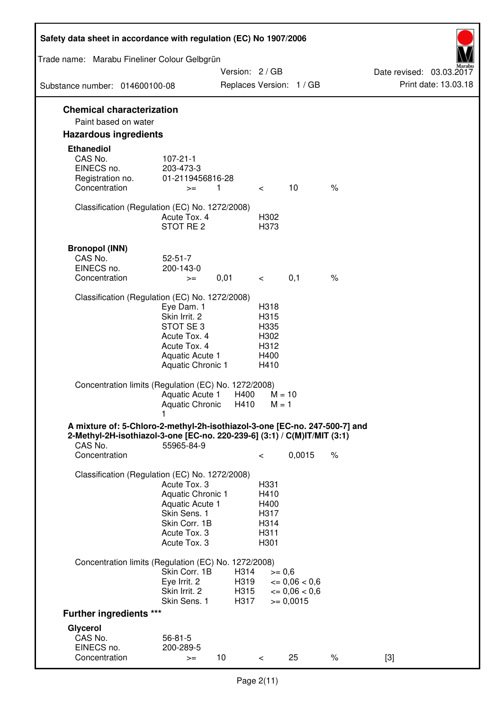| Safety data sheet in accordance with regulation (EC) No 1907/2006                                                                                                 |                                                                                                                       |                              |                                                      |                                                         |      |                                                  |
|-------------------------------------------------------------------------------------------------------------------------------------------------------------------|-----------------------------------------------------------------------------------------------------------------------|------------------------------|------------------------------------------------------|---------------------------------------------------------|------|--------------------------------------------------|
| Trade name: Marabu Fineliner Colour Gelbgrün                                                                                                                      |                                                                                                                       |                              |                                                      |                                                         |      |                                                  |
| Substance number: 014600100-08                                                                                                                                    |                                                                                                                       | Version: 2 / GB              |                                                      | Replaces Version: 1 / GB                                |      | Date revised: 03.03.2017<br>Print date: 13.03.18 |
|                                                                                                                                                                   |                                                                                                                       |                              |                                                      |                                                         |      |                                                  |
| <b>Chemical characterization</b><br>Paint based on water                                                                                                          |                                                                                                                       |                              |                                                      |                                                         |      |                                                  |
| <b>Hazardous ingredients</b>                                                                                                                                      |                                                                                                                       |                              |                                                      |                                                         |      |                                                  |
| <b>Ethanediol</b><br>CAS No.<br>EINECS no.<br>Registration no.<br>Concentration                                                                                   | $107 - 21 - 1$<br>203-473-3<br>01-2119456816-28<br>$>=$                                                               | $\mathbf{1}$                 | $\lt$                                                | 10                                                      | $\%$ |                                                  |
| Classification (Regulation (EC) No. 1272/2008)                                                                                                                    | Acute Tox. 4<br>STOT RE 2                                                                                             |                              | H302<br>H373                                         |                                                         |      |                                                  |
| <b>Bronopol (INN)</b><br>CAS No.<br>EINECS no.<br>Concentration                                                                                                   | $52 - 51 - 7$<br>200-143-0<br>$>=$                                                                                    | 0,01                         | $\lt$                                                | 0,1                                                     | $\%$ |                                                  |
| Classification (Regulation (EC) No. 1272/2008)                                                                                                                    |                                                                                                                       |                              |                                                      |                                                         |      |                                                  |
|                                                                                                                                                                   | Eye Dam. 1<br>Skin Irrit. 2<br>STOT SE 3<br>Acute Tox. 4<br>Acute Tox. 4<br>Aquatic Acute 1<br>Aquatic Chronic 1      |                              | H318<br>H315<br>H335<br>H302<br>H312<br>H400<br>H410 |                                                         |      |                                                  |
| Concentration limits (Regulation (EC) No. 1272/2008)                                                                                                              | Aquatic Acute 1<br>Aquatic Chronic                                                                                    | H400<br>H410                 | $M = 1$                                              | $M = 10$                                                |      |                                                  |
| A mixture of: 5-Chloro-2-methyl-2h-isothiazol-3-one [EC-no. 247-500-7] and<br>2-Methyl-2H-isothiazol-3-one [EC-no. 220-239-6] (3:1) / C(M)IT/MIT (3:1)<br>CAS No. | 55965-84-9                                                                                                            |                              |                                                      |                                                         |      |                                                  |
| Concentration                                                                                                                                                     |                                                                                                                       |                              | $\,<\,$                                              | 0,0015                                                  | $\%$ |                                                  |
| Classification (Regulation (EC) No. 1272/2008)                                                                                                                    | Acute Tox. 3<br>Aquatic Chronic 1<br>Aquatic Acute 1<br>Skin Sens. 1<br>Skin Corr. 1B<br>Acute Tox. 3<br>Acute Tox. 3 |                              | H331<br>H410<br>H400<br>H317<br>H314<br>H311<br>H301 |                                                         |      |                                                  |
| Concentration limits (Regulation (EC) No. 1272/2008)                                                                                                              |                                                                                                                       |                              |                                                      |                                                         |      |                                                  |
|                                                                                                                                                                   | Skin Corr. 1B<br>Eye Irrit. 2<br>Skin Irrit. 2<br>Skin Sens. 1                                                        | H314<br>H319<br>H315<br>H317 | $>= 0,6$                                             | $\epsilon = 0.06 < 0.6$<br>$= 0,06 < 0,6$<br>$= 0,0015$ |      |                                                  |
| <b>Further ingredients ***</b>                                                                                                                                    |                                                                                                                       |                              |                                                      |                                                         |      |                                                  |
| Glycerol<br>CAS No.<br>EINECS no.<br>Concentration                                                                                                                | $56 - 81 - 5$<br>200-289-5<br>$>=$                                                                                    | 10                           | $\,<\,$                                              | 25                                                      | $\%$ | $[3]$                                            |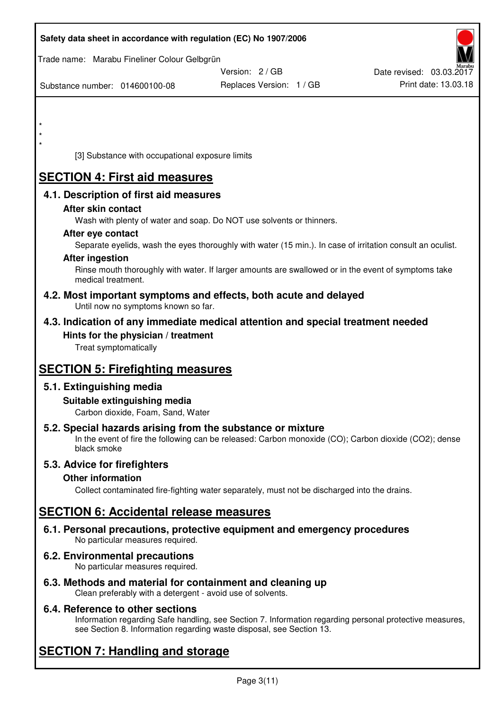| Safety data sheet in accordance with regulation (EC) No 1907/2006                                                       |                                                                                                            |                          |
|-------------------------------------------------------------------------------------------------------------------------|------------------------------------------------------------------------------------------------------------|--------------------------|
| Trade name: Marabu Fineliner Colour Gelbgrün                                                                            |                                                                                                            |                          |
|                                                                                                                         | Version: 2 / GB                                                                                            | Date revised: 03.03.2017 |
| Substance number: 014600100-08                                                                                          | Replaces Version: 1 / GB                                                                                   | Print date: 13.03.18     |
|                                                                                                                         |                                                                                                            |                          |
|                                                                                                                         |                                                                                                            |                          |
| $\star$                                                                                                                 |                                                                                                            |                          |
| $\star$                                                                                                                 |                                                                                                            |                          |
| [3] Substance with occupational exposure limits                                                                         |                                                                                                            |                          |
| <b>SECTION 4: First aid measures</b>                                                                                    |                                                                                                            |                          |
| 4.1. Description of first aid measures                                                                                  |                                                                                                            |                          |
| After skin contact                                                                                                      |                                                                                                            |                          |
| Wash with plenty of water and soap. Do NOT use solvents or thinners.                                                    |                                                                                                            |                          |
| After eye contact                                                                                                       |                                                                                                            |                          |
|                                                                                                                         | Separate eyelids, wash the eyes thoroughly with water (15 min.). In case of irritation consult an oculist. |                          |
| <b>After ingestion</b>                                                                                                  | Rinse mouth thoroughly with water. If larger amounts are swallowed or in the event of symptoms take        |                          |
| medical treatment.                                                                                                      |                                                                                                            |                          |
| 4.2. Most important symptoms and effects, both acute and delayed<br>Until now no symptoms known so far.                 |                                                                                                            |                          |
| 4.3. Indication of any immediate medical attention and special treatment needed                                         |                                                                                                            |                          |
| Hints for the physician / treatment                                                                                     |                                                                                                            |                          |
| Treat symptomatically                                                                                                   |                                                                                                            |                          |
| <b>SECTION 5: Firefighting measures</b>                                                                                 |                                                                                                            |                          |
| 5.1. Extinguishing media                                                                                                |                                                                                                            |                          |
| Suitable extinguishing media                                                                                            |                                                                                                            |                          |
| Carbon dioxide, Foam, Sand, Water                                                                                       |                                                                                                            |                          |
| 5.2. Special hazards arising from the substance or mixture                                                              | In the event of fire the following can be released: Carbon monoxide (CO); Carbon dioxide (CO2); dense      |                          |
| black smoke                                                                                                             |                                                                                                            |                          |
| 5.3. Advice for firefighters                                                                                            |                                                                                                            |                          |
| <b>Other information</b>                                                                                                |                                                                                                            |                          |
|                                                                                                                         | Collect contaminated fire-fighting water separately, must not be discharged into the drains.               |                          |
| <b>SECTION 6: Accidental release measures</b>                                                                           |                                                                                                            |                          |
| 6.1. Personal precautions, protective equipment and emergency procedures<br>No particular measures required.            |                                                                                                            |                          |
| 6.2. Environmental precautions<br>No particular measures required.                                                      |                                                                                                            |                          |
| 6.3. Methods and material for containment and cleaning up<br>Clean preferably with a detergent - avoid use of solvents. |                                                                                                            |                          |

## **6.4. Reference to other sections**

Information regarding Safe handling, see Section 7. Information regarding personal protective measures, see Section 8. Information regarding waste disposal, see Section 13.

# **SECTION 7: Handling and storage**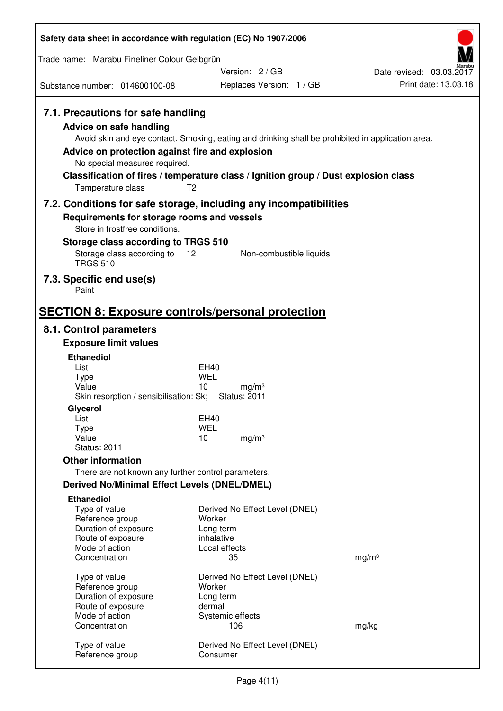| Safety data sheet in accordance with regulation (EC) No 1907/2006                                                                                                      |                                                                                                                                                                                                            |                                                  |
|------------------------------------------------------------------------------------------------------------------------------------------------------------------------|------------------------------------------------------------------------------------------------------------------------------------------------------------------------------------------------------------|--------------------------------------------------|
| Trade name: Marabu Fineliner Colour Gelbgrün                                                                                                                           |                                                                                                                                                                                                            |                                                  |
| Substance number: 014600100-08                                                                                                                                         | Version: 2/GB<br>Replaces Version: 1 / GB                                                                                                                                                                  | Date revised: 03.03.2017<br>Print date: 13.03.18 |
|                                                                                                                                                                        |                                                                                                                                                                                                            |                                                  |
| 7.1. Precautions for safe handling<br>Advice on safe handling<br>Advice on protection against fire and explosion<br>No special measures required.<br>Temperature class | Avoid skin and eye contact. Smoking, eating and drinking shall be prohibited in application area.<br>Classification of fires / temperature class / Ignition group / Dust explosion class<br>T <sub>2</sub> |                                                  |
|                                                                                                                                                                        | 7.2. Conditions for safe storage, including any incompatibilities                                                                                                                                          |                                                  |
| Requirements for storage rooms and vessels<br>Store in frostfree conditions.<br>Storage class according to TRGS 510                                                    |                                                                                                                                                                                                            |                                                  |
| Storage class according to<br><b>TRGS 510</b>                                                                                                                          | 12<br>Non-combustible liquids                                                                                                                                                                              |                                                  |
| 7.3. Specific end use(s)<br>Paint                                                                                                                                      |                                                                                                                                                                                                            |                                                  |
|                                                                                                                                                                        | <b>SECTION 8: Exposure controls/personal protection</b>                                                                                                                                                    |                                                  |
| 8.1. Control parameters                                                                                                                                                |                                                                                                                                                                                                            |                                                  |
| <b>Exposure limit values</b>                                                                                                                                           |                                                                                                                                                                                                            |                                                  |
| <b>Ethanediol</b><br>List                                                                                                                                              | EH40                                                                                                                                                                                                       |                                                  |
| <b>Type</b>                                                                                                                                                            | WEL                                                                                                                                                                                                        |                                                  |
| Value<br>Skin resorption / sensibilisation: Sk;                                                                                                                        | 10<br>mg/m <sup>3</sup><br><b>Status: 2011</b>                                                                                                                                                             |                                                  |
| Glycerol                                                                                                                                                               |                                                                                                                                                                                                            |                                                  |
| List                                                                                                                                                                   | EH40                                                                                                                                                                                                       |                                                  |
| Type<br>Value                                                                                                                                                          | <b>WEL</b><br>10<br>mg/m <sup>3</sup>                                                                                                                                                                      |                                                  |
| <b>Status: 2011</b>                                                                                                                                                    |                                                                                                                                                                                                            |                                                  |
| <b>Other information</b>                                                                                                                                               |                                                                                                                                                                                                            |                                                  |
| There are not known any further control parameters.                                                                                                                    |                                                                                                                                                                                                            |                                                  |
| <b>Derived No/Minimal Effect Levels (DNEL/DMEL)</b>                                                                                                                    |                                                                                                                                                                                                            |                                                  |
| <b>Ethanediol</b><br>Type of value<br>Reference group<br>Duration of exposure<br>Route of exposure                                                                     | Derived No Effect Level (DNEL)<br>Worker<br>Long term<br>inhalative                                                                                                                                        |                                                  |
| Mode of action                                                                                                                                                         | Local effects                                                                                                                                                                                              |                                                  |
| Concentration                                                                                                                                                          | 35                                                                                                                                                                                                         | mg/m <sup>3</sup>                                |
| Type of value                                                                                                                                                          | Derived No Effect Level (DNEL)                                                                                                                                                                             |                                                  |
| Reference group<br>Duration of exposure                                                                                                                                | Worker<br>Long term                                                                                                                                                                                        |                                                  |
| Route of exposure                                                                                                                                                      | dermal                                                                                                                                                                                                     |                                                  |
| Mode of action                                                                                                                                                         | Systemic effects                                                                                                                                                                                           |                                                  |
| Concentration                                                                                                                                                          | 106                                                                                                                                                                                                        | mg/kg                                            |
| Type of value<br>Reference group                                                                                                                                       | Derived No Effect Level (DNEL)<br>Consumer                                                                                                                                                                 |                                                  |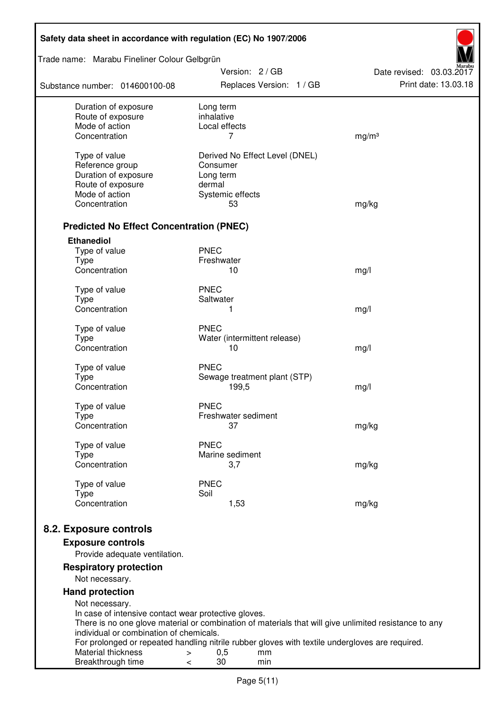| Safety data sheet in accordance with regulation (EC) No 1907/2006                                                                                                           |                                                                                                                                                                                                                       |                                                  |  |  |  |
|-----------------------------------------------------------------------------------------------------------------------------------------------------------------------------|-----------------------------------------------------------------------------------------------------------------------------------------------------------------------------------------------------------------------|--------------------------------------------------|--|--|--|
| Trade name: Marabu Fineliner Colour Gelbgrün                                                                                                                                |                                                                                                                                                                                                                       |                                                  |  |  |  |
| Substance number: 014600100-08                                                                                                                                              | Version: 2/GB<br>Replaces Version: 1 / GB                                                                                                                                                                             | Date revised: 03.03.2017<br>Print date: 13.03.18 |  |  |  |
| Duration of exposure<br>Route of exposure<br>Mode of action<br>Concentration                                                                                                | Long term<br>inhalative<br>Local effects<br>7                                                                                                                                                                         | mg/m <sup>3</sup>                                |  |  |  |
| Type of value<br>Reference group<br>Duration of exposure<br>Route of exposure<br>Mode of action<br>Concentration                                                            | Derived No Effect Level (DNEL)<br>Consumer<br>Long term<br>dermal<br>Systemic effects<br>53                                                                                                                           | mg/kg                                            |  |  |  |
| <b>Predicted No Effect Concentration (PNEC)</b>                                                                                                                             |                                                                                                                                                                                                                       |                                                  |  |  |  |
| <b>Ethanediol</b><br>Type of value<br>Type<br>Concentration                                                                                                                 | <b>PNEC</b><br>Freshwater<br>10                                                                                                                                                                                       | mg/l                                             |  |  |  |
| Type of value<br><b>Type</b><br>Concentration                                                                                                                               | <b>PNEC</b><br>Saltwater<br>1                                                                                                                                                                                         | mg/l                                             |  |  |  |
| Type of value<br><b>Type</b><br>Concentration                                                                                                                               | <b>PNEC</b><br>Water (intermittent release)<br>10                                                                                                                                                                     | mg/l                                             |  |  |  |
| Type of value<br><b>Type</b><br>Concentration                                                                                                                               | <b>PNEC</b><br>Sewage treatment plant (STP)<br>199,5                                                                                                                                                                  | mg/l                                             |  |  |  |
| Type of value<br>Type<br>Concentration                                                                                                                                      | <b>PNEC</b><br>Freshwater sediment<br>37                                                                                                                                                                              | mg/kg                                            |  |  |  |
| Type of value<br><b>Type</b><br>Concentration                                                                                                                               | <b>PNEC</b><br>Marine sediment<br>3,7                                                                                                                                                                                 | mg/kg                                            |  |  |  |
| Type of value<br><b>Type</b><br>Concentration                                                                                                                               | <b>PNEC</b><br>Soil<br>1,53                                                                                                                                                                                           | mg/kg                                            |  |  |  |
| 8.2. Exposure controls<br><b>Exposure controls</b><br>Provide adequate ventilation.                                                                                         |                                                                                                                                                                                                                       |                                                  |  |  |  |
| <b>Respiratory protection</b><br>Not necessary.                                                                                                                             |                                                                                                                                                                                                                       |                                                  |  |  |  |
| <b>Hand protection</b><br>Not necessary.<br>In case of intensive contact wear protective gloves.<br>individual or combination of chemicals.<br>Material thickness<br>$\geq$ | There is no one glove material or combination of materials that will give unlimited resistance to any<br>For prolonged or repeated handling nitrile rubber gloves with textile undergloves are required.<br>0,5<br>mm |                                                  |  |  |  |
| Breakthrough time<br>$\,<\,$                                                                                                                                                | 30<br>min                                                                                                                                                                                                             |                                                  |  |  |  |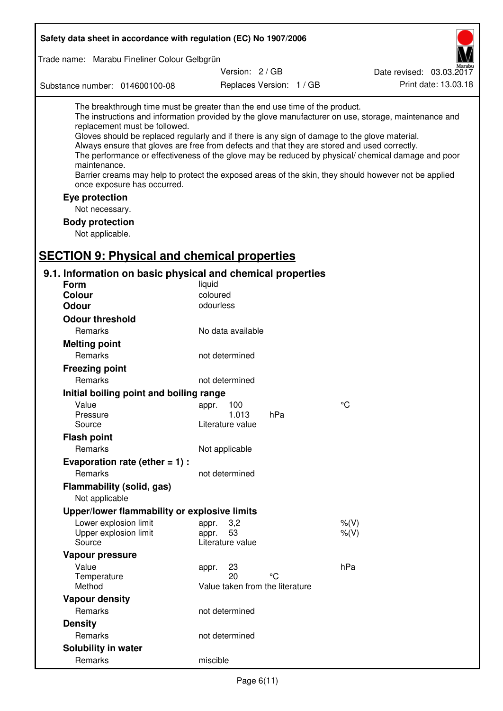| Safety data sheet in accordance with regulation (EC) No 1907/2006                                                                                                                                                                                                                                                                                            |                                                 |                          |                                                                                                                                                                                                                                                                                                                    |
|--------------------------------------------------------------------------------------------------------------------------------------------------------------------------------------------------------------------------------------------------------------------------------------------------------------------------------------------------------------|-------------------------------------------------|--------------------------|--------------------------------------------------------------------------------------------------------------------------------------------------------------------------------------------------------------------------------------------------------------------------------------------------------------------|
| Trade name: Marabu Fineliner Colour Gelbgrün                                                                                                                                                                                                                                                                                                                 |                                                 |                          |                                                                                                                                                                                                                                                                                                                    |
|                                                                                                                                                                                                                                                                                                                                                              | Version: 2/GB                                   |                          | Date revised: 03.03.2017                                                                                                                                                                                                                                                                                           |
| Substance number: 014600100-08                                                                                                                                                                                                                                                                                                                               |                                                 | Replaces Version: 1 / GB | Print date: 13.03.18                                                                                                                                                                                                                                                                                               |
| The breakthrough time must be greater than the end use time of the product.<br>replacement must be followed.<br>Gloves should be replaced regularly and if there is any sign of damage to the glove material.<br>Always ensure that gloves are free from defects and that they are stored and used correctly.<br>maintenance.<br>once exposure has occurred. |                                                 |                          | The instructions and information provided by the glove manufacturer on use, storage, maintenance and<br>The performance or effectiveness of the glove may be reduced by physical/ chemical damage and poor<br>Barrier creams may help to protect the exposed areas of the skin, they should however not be applied |
| Eye protection                                                                                                                                                                                                                                                                                                                                               |                                                 |                          |                                                                                                                                                                                                                                                                                                                    |
| Not necessary.                                                                                                                                                                                                                                                                                                                                               |                                                 |                          |                                                                                                                                                                                                                                                                                                                    |
| <b>Body protection</b><br>Not applicable.                                                                                                                                                                                                                                                                                                                    |                                                 |                          |                                                                                                                                                                                                                                                                                                                    |
| <b>SECTION 9: Physical and chemical properties</b>                                                                                                                                                                                                                                                                                                           |                                                 |                          |                                                                                                                                                                                                                                                                                                                    |
| 9.1. Information on basic physical and chemical properties                                                                                                                                                                                                                                                                                                   |                                                 |                          |                                                                                                                                                                                                                                                                                                                    |
| <b>Form</b>                                                                                                                                                                                                                                                                                                                                                  | liquid                                          |                          |                                                                                                                                                                                                                                                                                                                    |
| Colour                                                                                                                                                                                                                                                                                                                                                       | coloured                                        |                          |                                                                                                                                                                                                                                                                                                                    |
| <b>Odour</b>                                                                                                                                                                                                                                                                                                                                                 | odourless                                       |                          |                                                                                                                                                                                                                                                                                                                    |
| <b>Odour threshold</b>                                                                                                                                                                                                                                                                                                                                       |                                                 |                          |                                                                                                                                                                                                                                                                                                                    |
| Remarks                                                                                                                                                                                                                                                                                                                                                      | No data available                               |                          |                                                                                                                                                                                                                                                                                                                    |
| <b>Melting point</b>                                                                                                                                                                                                                                                                                                                                         |                                                 |                          |                                                                                                                                                                                                                                                                                                                    |
| Remarks                                                                                                                                                                                                                                                                                                                                                      | not determined                                  |                          |                                                                                                                                                                                                                                                                                                                    |
| <b>Freezing point</b>                                                                                                                                                                                                                                                                                                                                        |                                                 |                          |                                                                                                                                                                                                                                                                                                                    |
| Remarks                                                                                                                                                                                                                                                                                                                                                      | not determined                                  |                          |                                                                                                                                                                                                                                                                                                                    |
| Initial boiling point and boiling range                                                                                                                                                                                                                                                                                                                      |                                                 |                          |                                                                                                                                                                                                                                                                                                                    |
| Value                                                                                                                                                                                                                                                                                                                                                        | appr. 100                                       |                          | $^{\circ}C$                                                                                                                                                                                                                                                                                                        |
| Pressure                                                                                                                                                                                                                                                                                                                                                     | 1.013                                           | hPa                      |                                                                                                                                                                                                                                                                                                                    |
| Source                                                                                                                                                                                                                                                                                                                                                       | Literature value                                |                          |                                                                                                                                                                                                                                                                                                                    |
| <b>Flash point</b>                                                                                                                                                                                                                                                                                                                                           |                                                 |                          |                                                                                                                                                                                                                                                                                                                    |
| Remarks                                                                                                                                                                                                                                                                                                                                                      | Not applicable                                  |                          |                                                                                                                                                                                                                                                                                                                    |
| Evaporation rate (ether $= 1$ ) :                                                                                                                                                                                                                                                                                                                            |                                                 |                          |                                                                                                                                                                                                                                                                                                                    |
| Remarks                                                                                                                                                                                                                                                                                                                                                      | not determined                                  |                          |                                                                                                                                                                                                                                                                                                                    |
| <b>Flammability (solid, gas)</b><br>Not applicable                                                                                                                                                                                                                                                                                                           |                                                 |                          |                                                                                                                                                                                                                                                                                                                    |
| Upper/lower flammability or explosive limits                                                                                                                                                                                                                                                                                                                 |                                                 |                          |                                                                                                                                                                                                                                                                                                                    |
| Lower explosion limit<br>Upper explosion limit<br>Source                                                                                                                                                                                                                                                                                                     | 3,2<br>appr.<br>53<br>appr.<br>Literature value |                          | $%$ (V)<br>$%$ (V)                                                                                                                                                                                                                                                                                                 |
| Vapour pressure                                                                                                                                                                                                                                                                                                                                              |                                                 |                          |                                                                                                                                                                                                                                                                                                                    |
| Value                                                                                                                                                                                                                                                                                                                                                        | 23<br>appr.                                     |                          | hPa                                                                                                                                                                                                                                                                                                                |
| Temperature<br>Method                                                                                                                                                                                                                                                                                                                                        | 20<br>Value taken from the literature           | °C                       |                                                                                                                                                                                                                                                                                                                    |
| <b>Vapour density</b>                                                                                                                                                                                                                                                                                                                                        |                                                 |                          |                                                                                                                                                                                                                                                                                                                    |
| Remarks                                                                                                                                                                                                                                                                                                                                                      | not determined                                  |                          |                                                                                                                                                                                                                                                                                                                    |
| <b>Density</b>                                                                                                                                                                                                                                                                                                                                               |                                                 |                          |                                                                                                                                                                                                                                                                                                                    |
| Remarks                                                                                                                                                                                                                                                                                                                                                      | not determined                                  |                          |                                                                                                                                                                                                                                                                                                                    |
| Solubility in water                                                                                                                                                                                                                                                                                                                                          |                                                 |                          |                                                                                                                                                                                                                                                                                                                    |
| Remarks                                                                                                                                                                                                                                                                                                                                                      | miscible                                        |                          |                                                                                                                                                                                                                                                                                                                    |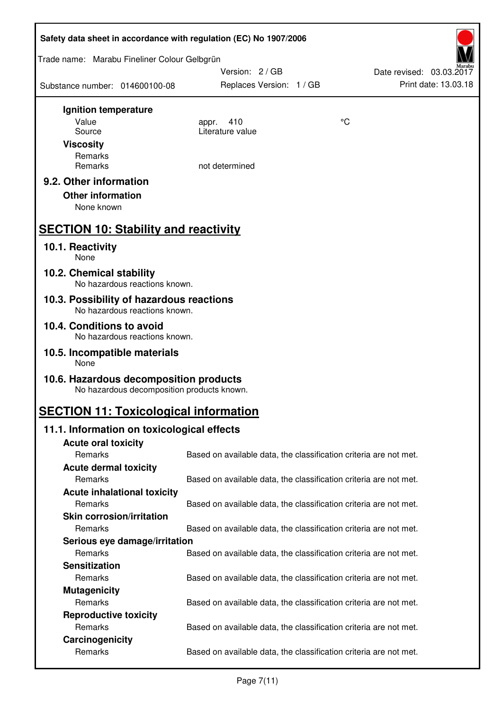| Safety data sheet in accordance with regulation (EC) No 1907/2006                    |                                                                   |    |                                                  |  |  |
|--------------------------------------------------------------------------------------|-------------------------------------------------------------------|----|--------------------------------------------------|--|--|
| Trade name: Marabu Fineliner Colour Gelbgrün                                         | Version: 2/GB                                                     |    |                                                  |  |  |
| Substance number: 014600100-08                                                       | Replaces Version: 1 / GB                                          |    | Date revised: 03.03.2017<br>Print date: 13.03.18 |  |  |
| Ignition temperature                                                                 |                                                                   |    |                                                  |  |  |
| Value                                                                                | 410<br>appr.                                                      | °C |                                                  |  |  |
| Source                                                                               | Literature value                                                  |    |                                                  |  |  |
| <b>Viscosity</b>                                                                     |                                                                   |    |                                                  |  |  |
| Remarks<br>Remarks                                                                   | not determined                                                    |    |                                                  |  |  |
| 9.2. Other information                                                               |                                                                   |    |                                                  |  |  |
| <b>Other information</b><br>None known                                               |                                                                   |    |                                                  |  |  |
| <b>SECTION 10: Stability and reactivity</b>                                          |                                                                   |    |                                                  |  |  |
| 10.1. Reactivity<br><b>None</b>                                                      |                                                                   |    |                                                  |  |  |
| 10.2. Chemical stability<br>No hazardous reactions known.                            |                                                                   |    |                                                  |  |  |
| 10.3. Possibility of hazardous reactions<br>No hazardous reactions known.            |                                                                   |    |                                                  |  |  |
| 10.4. Conditions to avoid<br>No hazardous reactions known.                           |                                                                   |    |                                                  |  |  |
| 10.5. Incompatible materials<br>None                                                 |                                                                   |    |                                                  |  |  |
| 10.6. Hazardous decomposition products<br>No hazardous decomposition products known. |                                                                   |    |                                                  |  |  |
| <b>SECTION 11: Toxicological information</b>                                         |                                                                   |    |                                                  |  |  |
| 11.1. Information on toxicological effects                                           |                                                                   |    |                                                  |  |  |
| <b>Acute oral toxicity</b>                                                           |                                                                   |    |                                                  |  |  |
| Remarks                                                                              | Based on available data, the classification criteria are not met. |    |                                                  |  |  |
| <b>Acute dermal toxicity</b>                                                         |                                                                   |    |                                                  |  |  |
| Remarks                                                                              | Based on available data, the classification criteria are not met. |    |                                                  |  |  |
| <b>Acute inhalational toxicity</b>                                                   |                                                                   |    |                                                  |  |  |
| Remarks                                                                              | Based on available data, the classification criteria are not met. |    |                                                  |  |  |
| <b>Skin corrosion/irritation</b>                                                     |                                                                   |    |                                                  |  |  |
| Remarks                                                                              | Based on available data, the classification criteria are not met. |    |                                                  |  |  |
| Serious eye damage/irritation                                                        |                                                                   |    |                                                  |  |  |
| Remarks                                                                              | Based on available data, the classification criteria are not met. |    |                                                  |  |  |
| <b>Sensitization</b><br>Remarks                                                      |                                                                   |    |                                                  |  |  |
|                                                                                      | Based on available data, the classification criteria are not met. |    |                                                  |  |  |
| <b>Mutagenicity</b><br>Remarks                                                       | Based on available data, the classification criteria are not met. |    |                                                  |  |  |
| <b>Reproductive toxicity</b>                                                         |                                                                   |    |                                                  |  |  |
| Remarks                                                                              | Based on available data, the classification criteria are not met. |    |                                                  |  |  |
| Carcinogenicity                                                                      |                                                                   |    |                                                  |  |  |
| Remarks                                                                              | Based on available data, the classification criteria are not met. |    |                                                  |  |  |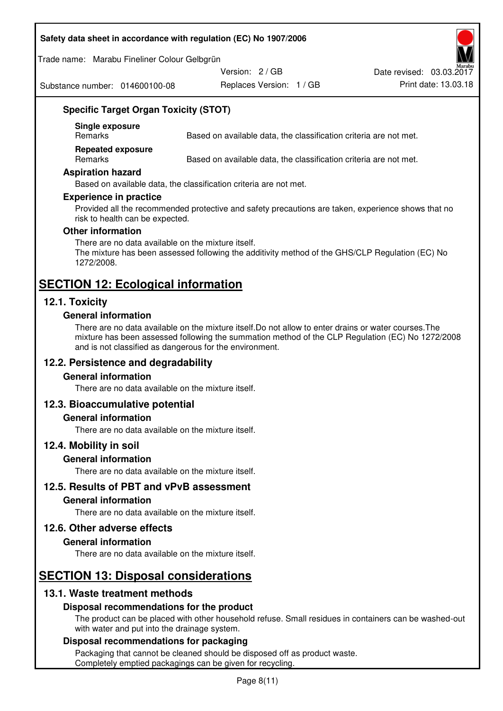#### **Safety data sheet in accordance with regulation (EC) No 1907/2006**

Trade name: Marabu Fineliner Colour Gelbgrün

Substance number: 014600100-08

Version: 2 / GB

Replaces Version: 1 / GB Print date: 13.03.18 Date revised: 03.03.2017

## **Specific Target Organ Toxicity (STOT)**

**Single exposure** 

Based on available data, the classification criteria are not met.

**Repeated exposure** 

Remarks Based on available data, the classification criteria are not met.

#### **Aspiration hazard**

Based on available data, the classification criteria are not met.

#### **Experience in practice**

Provided all the recommended protective and safety precautions are taken, experience shows that no risk to health can be expected.

#### **Other information**

There are no data available on the mixture itself. The mixture has been assessed following the additivity method of the GHS/CLP Regulation (EC) No 1272/2008.

## **SECTION 12: Ecological information**

## **12.1. Toxicity**

#### **General information**

There are no data available on the mixture itself.Do not allow to enter drains or water courses.The mixture has been assessed following the summation method of the CLP Regulation (EC) No 1272/2008 and is not classified as dangerous for the environment.

## **12.2. Persistence and degradability**

#### **General information**

There are no data available on the mixture itself.

## **12.3. Bioaccumulative potential**

#### **General information**

There are no data available on the mixture itself.

#### **12.4. Mobility in soil**

#### **General information**

There are no data available on the mixture itself.

## **12.5. Results of PBT and vPvB assessment**

#### **General information**

There are no data available on the mixture itself.

#### **12.6. Other adverse effects**

#### **General information**

There are no data available on the mixture itself.

# **SECTION 13: Disposal considerations**

## **13.1. Waste treatment methods**

#### **Disposal recommendations for the product**

The product can be placed with other household refuse. Small residues in containers can be washed-out with water and put into the drainage system.

#### **Disposal recommendations for packaging**

Packaging that cannot be cleaned should be disposed off as product waste. Completely emptied packagings can be given for recycling.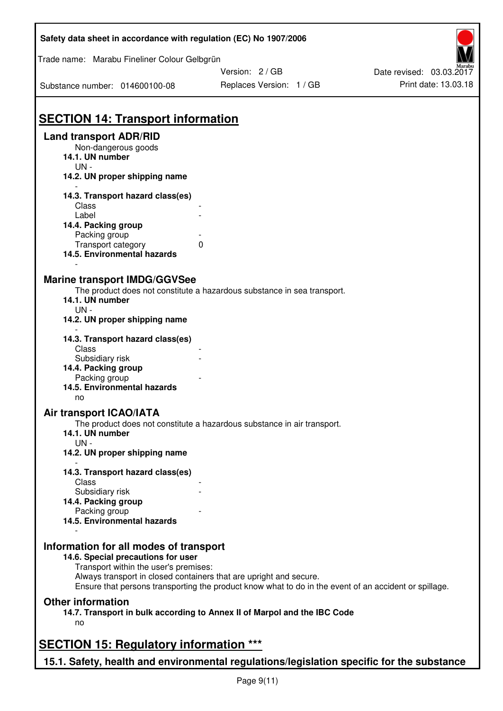| Safety data sheet in accordance with regulation (EC) No 1907/2006                         |                                                                                                       |                          |
|-------------------------------------------------------------------------------------------|-------------------------------------------------------------------------------------------------------|--------------------------|
| Trade name: Marabu Fineliner Colour Gelbgrün                                              |                                                                                                       |                          |
|                                                                                           | Version: 2 / GB                                                                                       | Date revised: 03.03.2017 |
| Substance number: 014600100-08                                                            | Replaces Version: 1 / GB                                                                              | Print date: 13.03.18     |
| <b>SECTION 14: Transport information</b>                                                  |                                                                                                       |                          |
| <b>Land transport ADR/RID</b>                                                             |                                                                                                       |                          |
| Non-dangerous goods                                                                       |                                                                                                       |                          |
| 14.1. UN number                                                                           |                                                                                                       |                          |
| $UN -$                                                                                    |                                                                                                       |                          |
| 14.2. UN proper shipping name                                                             |                                                                                                       |                          |
| 14.3. Transport hazard class(es)                                                          |                                                                                                       |                          |
| Class                                                                                     |                                                                                                       |                          |
| Label                                                                                     |                                                                                                       |                          |
| 14.4. Packing group                                                                       |                                                                                                       |                          |
| Packing group                                                                             |                                                                                                       |                          |
| Transport category                                                                        | 0                                                                                                     |                          |
| 14.5. Environmental hazards                                                               |                                                                                                       |                          |
| <b>Marine transport IMDG/GGVSee</b>                                                       |                                                                                                       |                          |
|                                                                                           | The product does not constitute a hazardous substance in sea transport.                               |                          |
| 14.1. UN number                                                                           |                                                                                                       |                          |
| $UN -$                                                                                    |                                                                                                       |                          |
| 14.2. UN proper shipping name                                                             |                                                                                                       |                          |
|                                                                                           |                                                                                                       |                          |
| 14.3. Transport hazard class(es)                                                          |                                                                                                       |                          |
| Class                                                                                     |                                                                                                       |                          |
| Subsidiary risk                                                                           |                                                                                                       |                          |
| 14.4. Packing group                                                                       |                                                                                                       |                          |
| Packing group<br>14.5. Environmental hazards                                              |                                                                                                       |                          |
| no                                                                                        |                                                                                                       |                          |
| <b>Air transport ICAO/IATA</b>                                                            |                                                                                                       |                          |
|                                                                                           | The product does not constitute a hazardous substance in air transport.                               |                          |
| 14.1. UN number                                                                           |                                                                                                       |                          |
| $UN -$                                                                                    |                                                                                                       |                          |
| 14.2. UN proper shipping name                                                             |                                                                                                       |                          |
|                                                                                           |                                                                                                       |                          |
| 14.3. Transport hazard class(es)                                                          |                                                                                                       |                          |
| Class                                                                                     |                                                                                                       |                          |
| Subsidiary risk                                                                           |                                                                                                       |                          |
| 14.4. Packing group                                                                       |                                                                                                       |                          |
| Packing group                                                                             |                                                                                                       |                          |
| 14.5. Environmental hazards                                                               |                                                                                                       |                          |
|                                                                                           |                                                                                                       |                          |
| Information for all modes of transport                                                    |                                                                                                       |                          |
| 14.6. Special precautions for user<br>Transport within the user's premises:               |                                                                                                       |                          |
| Always transport in closed containers that are upright and secure.                        |                                                                                                       |                          |
|                                                                                           | Ensure that persons transporting the product know what to do in the event of an accident or spillage. |                          |
| <b>Other information</b>                                                                  |                                                                                                       |                          |
|                                                                                           |                                                                                                       |                          |
|                                                                                           | 14.7. Transport in bulk according to Annex II of Marpol and the IBC Code                              |                          |
| no                                                                                        |                                                                                                       |                          |
| <b>SECTION 15: Regulatory information ***</b>                                             |                                                                                                       |                          |
|                                                                                           |                                                                                                       |                          |
| 15.1. Safety, health and environmental regulations/legislation specific for the substance |                                                                                                       |                          |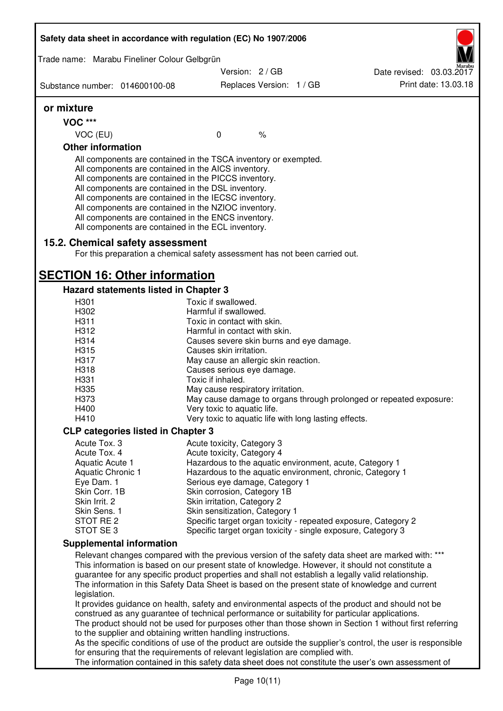| Safety data sheet in accordance with regulation (EC) No 1907/2006 |                                                                                                                                                                                                                                                                                                                                                                                                                                                                   |                                                                     |      |                                                                                                                                                                                                                                                                                                             |
|-------------------------------------------------------------------|-------------------------------------------------------------------------------------------------------------------------------------------------------------------------------------------------------------------------------------------------------------------------------------------------------------------------------------------------------------------------------------------------------------------------------------------------------------------|---------------------------------------------------------------------|------|-------------------------------------------------------------------------------------------------------------------------------------------------------------------------------------------------------------------------------------------------------------------------------------------------------------|
| Trade name: Marabu Fineliner Colour Gelbgrün                      |                                                                                                                                                                                                                                                                                                                                                                                                                                                                   |                                                                     |      |                                                                                                                                                                                                                                                                                                             |
|                                                                   |                                                                                                                                                                                                                                                                                                                                                                                                                                                                   | Version: 2 / GB                                                     |      | Date revised: 03.03.2017                                                                                                                                                                                                                                                                                    |
| Substance number: 014600100-08                                    |                                                                                                                                                                                                                                                                                                                                                                                                                                                                   | Replaces Version: 1 / GB                                            |      | Print date: 13.03.18                                                                                                                                                                                                                                                                                        |
| or mixture                                                        |                                                                                                                                                                                                                                                                                                                                                                                                                                                                   |                                                                     |      |                                                                                                                                                                                                                                                                                                             |
| <b>VOC ***</b>                                                    |                                                                                                                                                                                                                                                                                                                                                                                                                                                                   |                                                                     |      |                                                                                                                                                                                                                                                                                                             |
| VOC (EU)                                                          |                                                                                                                                                                                                                                                                                                                                                                                                                                                                   | $\mathbf 0$                                                         | $\%$ |                                                                                                                                                                                                                                                                                                             |
| <b>Other information</b>                                          |                                                                                                                                                                                                                                                                                                                                                                                                                                                                   |                                                                     |      |                                                                                                                                                                                                                                                                                                             |
|                                                                   | All components are contained in the TSCA inventory or exempted.<br>All components are contained in the AICS inventory.<br>All components are contained in the PICCS inventory.<br>All components are contained in the DSL inventory.<br>All components are contained in the IECSC inventory.<br>All components are contained in the NZIOC inventory.<br>All components are contained in the ENCS inventory.<br>All components are contained in the ECL inventory. |                                                                     |      |                                                                                                                                                                                                                                                                                                             |
| 15.2. Chemical safety assessment                                  | For this preparation a chemical safety assessment has not been carried out.                                                                                                                                                                                                                                                                                                                                                                                       |                                                                     |      |                                                                                                                                                                                                                                                                                                             |
| <b>SECTION 16: Other information</b>                              |                                                                                                                                                                                                                                                                                                                                                                                                                                                                   |                                                                     |      |                                                                                                                                                                                                                                                                                                             |
| Hazard statements listed in Chapter 3                             |                                                                                                                                                                                                                                                                                                                                                                                                                                                                   |                                                                     |      |                                                                                                                                                                                                                                                                                                             |
| H301                                                              |                                                                                                                                                                                                                                                                                                                                                                                                                                                                   | Toxic if swallowed.                                                 |      |                                                                                                                                                                                                                                                                                                             |
| H302                                                              |                                                                                                                                                                                                                                                                                                                                                                                                                                                                   | Harmful if swallowed.                                               |      |                                                                                                                                                                                                                                                                                                             |
| H311                                                              |                                                                                                                                                                                                                                                                                                                                                                                                                                                                   | Toxic in contact with skin.                                         |      |                                                                                                                                                                                                                                                                                                             |
| H312<br>H314                                                      |                                                                                                                                                                                                                                                                                                                                                                                                                                                                   | Harmful in contact with skin.                                       |      |                                                                                                                                                                                                                                                                                                             |
| H315                                                              |                                                                                                                                                                                                                                                                                                                                                                                                                                                                   | Causes severe skin burns and eye damage.<br>Causes skin irritation. |      |                                                                                                                                                                                                                                                                                                             |
| H317                                                              |                                                                                                                                                                                                                                                                                                                                                                                                                                                                   | May cause an allergic skin reaction.                                |      |                                                                                                                                                                                                                                                                                                             |
| H318                                                              |                                                                                                                                                                                                                                                                                                                                                                                                                                                                   | Causes serious eye damage.                                          |      |                                                                                                                                                                                                                                                                                                             |
| H331                                                              |                                                                                                                                                                                                                                                                                                                                                                                                                                                                   | Toxic if inhaled.                                                   |      |                                                                                                                                                                                                                                                                                                             |
| H335                                                              |                                                                                                                                                                                                                                                                                                                                                                                                                                                                   | May cause respiratory irritation.                                   |      |                                                                                                                                                                                                                                                                                                             |
| H373                                                              |                                                                                                                                                                                                                                                                                                                                                                                                                                                                   |                                                                     |      | May cause damage to organs through prolonged or repeated exposure:                                                                                                                                                                                                                                          |
| H400                                                              |                                                                                                                                                                                                                                                                                                                                                                                                                                                                   | Very toxic to aquatic life.                                         |      |                                                                                                                                                                                                                                                                                                             |
| H410                                                              |                                                                                                                                                                                                                                                                                                                                                                                                                                                                   | Very toxic to aquatic life with long lasting effects.               |      |                                                                                                                                                                                                                                                                                                             |
| <b>CLP categories listed in Chapter 3</b>                         |                                                                                                                                                                                                                                                                                                                                                                                                                                                                   |                                                                     |      |                                                                                                                                                                                                                                                                                                             |
| Acute Tox. 3                                                      |                                                                                                                                                                                                                                                                                                                                                                                                                                                                   | Acute toxicity, Category 3                                          |      |                                                                                                                                                                                                                                                                                                             |
| Acute Tox. 4                                                      |                                                                                                                                                                                                                                                                                                                                                                                                                                                                   | Acute toxicity, Category 4                                          |      |                                                                                                                                                                                                                                                                                                             |
| Aquatic Acute 1                                                   |                                                                                                                                                                                                                                                                                                                                                                                                                                                                   |                                                                     |      | Hazardous to the aquatic environment, acute, Category 1                                                                                                                                                                                                                                                     |
| Aquatic Chronic 1                                                 |                                                                                                                                                                                                                                                                                                                                                                                                                                                                   |                                                                     |      | Hazardous to the aquatic environment, chronic, Category 1                                                                                                                                                                                                                                                   |
| Eye Dam. 1                                                        |                                                                                                                                                                                                                                                                                                                                                                                                                                                                   | Serious eye damage, Category 1                                      |      |                                                                                                                                                                                                                                                                                                             |
| Skin Corr. 1B                                                     |                                                                                                                                                                                                                                                                                                                                                                                                                                                                   | Skin corrosion, Category 1B                                         |      |                                                                                                                                                                                                                                                                                                             |
| Skin Irrit. 2<br>Skin Sens. 1                                     |                                                                                                                                                                                                                                                                                                                                                                                                                                                                   | Skin irritation, Category 2<br>Skin sensitization, Category 1       |      |                                                                                                                                                                                                                                                                                                             |
| STOT RE 2                                                         |                                                                                                                                                                                                                                                                                                                                                                                                                                                                   |                                                                     |      | Specific target organ toxicity - repeated exposure, Category 2                                                                                                                                                                                                                                              |
| STOT SE3                                                          |                                                                                                                                                                                                                                                                                                                                                                                                                                                                   |                                                                     |      | Specific target organ toxicity - single exposure, Category 3                                                                                                                                                                                                                                                |
| <b>Supplemental information</b>                                   |                                                                                                                                                                                                                                                                                                                                                                                                                                                                   |                                                                     |      |                                                                                                                                                                                                                                                                                                             |
|                                                                   |                                                                                                                                                                                                                                                                                                                                                                                                                                                                   |                                                                     |      | Relevant changes compared with the previous version of the safety data sheet are marked with: ***                                                                                                                                                                                                           |
| legislation.                                                      |                                                                                                                                                                                                                                                                                                                                                                                                                                                                   |                                                                     |      | This information is based on our present state of knowledge. However, it should not constitute a<br>guarantee for any specific product properties and shall not establish a legally valid relationship.<br>The information in this Safety Data Sheet is based on the present state of knowledge and current |
|                                                                   |                                                                                                                                                                                                                                                                                                                                                                                                                                                                   |                                                                     |      | It provides guidance on health, safety and environmental aspects of the product and should not be                                                                                                                                                                                                           |
|                                                                   |                                                                                                                                                                                                                                                                                                                                                                                                                                                                   |                                                                     |      | construed as any guarantee of technical performance or suitability for particular applications.                                                                                                                                                                                                             |
|                                                                   | to the supplier and obtaining written handling instructions.                                                                                                                                                                                                                                                                                                                                                                                                      |                                                                     |      | The product should not be used for purposes other than those shown in Section 1 without first referring                                                                                                                                                                                                     |
|                                                                   |                                                                                                                                                                                                                                                                                                                                                                                                                                                                   |                                                                     |      | As the specific conditions of use of the product are outside the supplier's control, the user is responsible                                                                                                                                                                                                |
|                                                                   | for ensuring that the requirements of relevant legislation are complied with.                                                                                                                                                                                                                                                                                                                                                                                     |                                                                     |      |                                                                                                                                                                                                                                                                                                             |
|                                                                   |                                                                                                                                                                                                                                                                                                                                                                                                                                                                   |                                                                     |      | The information contained in this safety data sheet does not constitute the user's own assessment of                                                                                                                                                                                                        |